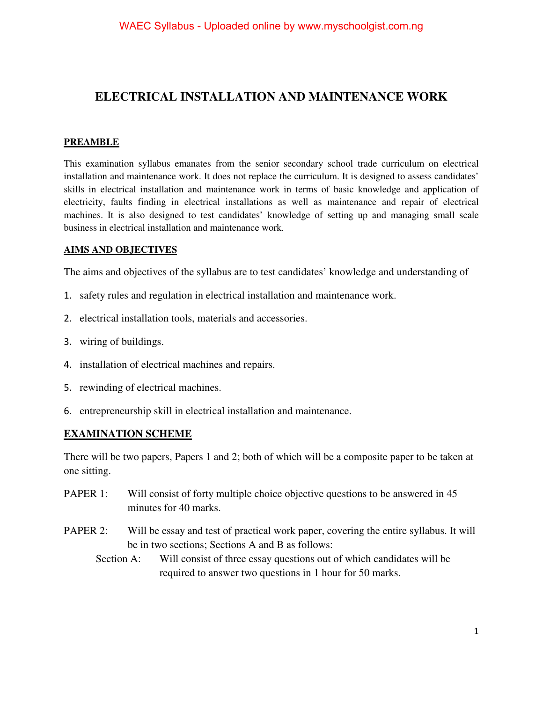## **ELECTRICAL INSTALLATION AND MAINTENANCE WORK**

### **PREAMBLE**

This examination syllabus emanates from the senior secondary school trade curriculum on electrical installation and maintenance work. It does not replace the curriculum. It is designed to assess candidates' skills in electrical installation and maintenance work in terms of basic knowledge and application of electricity, faults finding in electrical installations as well as maintenance and repair of electrical machines. It is also designed to test candidates' knowledge of setting up and managing small scale business in electrical installation and maintenance work.

#### **AIMS AND OBJECTIVES**

The aims and objectives of the syllabus are to test candidates' knowledge and understanding of

- 1. safety rules and regulation in electrical installation and maintenance work.
- 2. electrical installation tools, materials and accessories.
- 3. wiring of buildings.
- 4. installation of electrical machines and repairs.
- 5. rewinding of electrical machines.
- 6. entrepreneurship skill in electrical installation and maintenance.

### **EXAMINATION SCHEME**

There will be two papers, Papers 1 and 2; both of which will be a composite paper to be taken at one sitting.

- PAPER 1: Will consist of forty multiple choice objective questions to be answered in 45 minutes for 40 marks.
- PAPER 2: Will be essay and test of practical work paper, covering the entire syllabus. It will be in two sections; Sections A and B as follows:
	- Section A: Will consist of three essay questions out of which candidates will be required to answer two questions in 1 hour for 50 marks.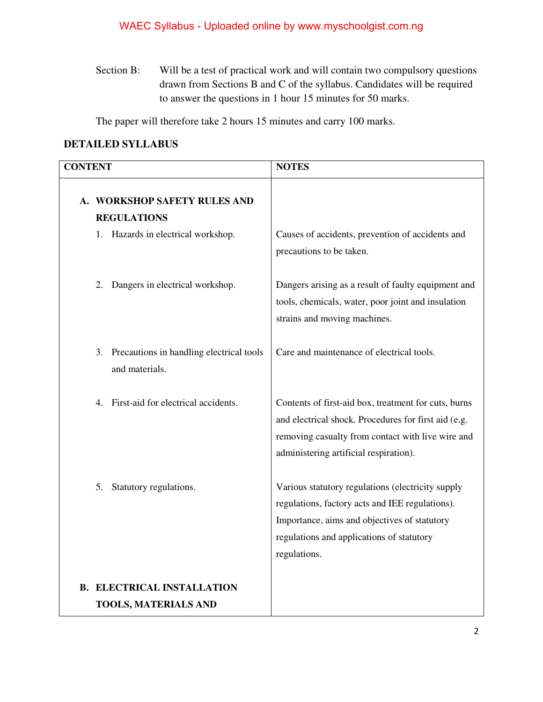Section B: Will be a test of practical work and will contain two compulsory questions drawn from Sections B and C of the syllabus. Candidates will be required to answer the questions in 1 hour 15 minutes for 50 marks.

The paper will therefore take 2 hours 15 minutes and carry 100 marks.

## **DETAILED SYLLABUS**

| <b>CONTENT</b>                                                   | <b>NOTES</b>                                                                                                                                                                                                      |
|------------------------------------------------------------------|-------------------------------------------------------------------------------------------------------------------------------------------------------------------------------------------------------------------|
| A. WORKSHOP SAFETY RULES AND<br><b>REGULATIONS</b>               |                                                                                                                                                                                                                   |
| 1. Hazards in electrical workshop.                               | Causes of accidents, prevention of accidents and<br>precautions to be taken.                                                                                                                                      |
| Dangers in electrical workshop.<br>2.                            | Dangers arising as a result of faulty equipment and<br>tools, chemicals, water, poor joint and insulation<br>strains and moving machines.                                                                         |
| 3. Precautions in handling electrical tools<br>and materials.    | Care and maintenance of electrical tools.                                                                                                                                                                         |
| First-aid for electrical accidents.<br>4.                        | Contents of first-aid box, treatment for cuts, burns<br>and electrical shock. Procedures for first aid (e.g.<br>removing casualty from contact with live wire and<br>administering artificial respiration).       |
| Statutory regulations.<br>5.                                     | Various statutory regulations (electricity supply<br>regulations, factory acts and IEE regulations).<br>Importance, aims and objectives of statutory<br>regulations and applications of statutory<br>regulations. |
| <b>B. ELECTRICAL INSTALLATION</b><br><b>TOOLS, MATERIALS AND</b> |                                                                                                                                                                                                                   |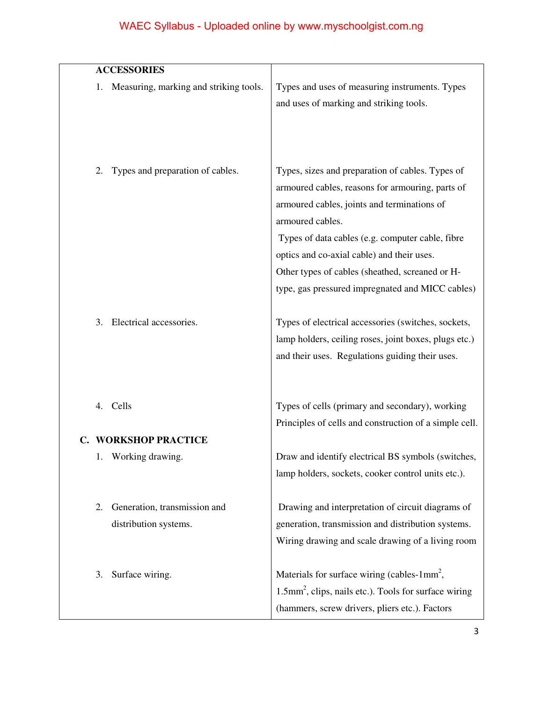# WAEC Syllabus - Uploaded online by www.myschoolgist.com.ng

| <b>ACCESSORIES</b>                           |                                                                                           |
|----------------------------------------------|-------------------------------------------------------------------------------------------|
| Measuring, marking and striking tools.<br>1. | Types and uses of measuring instruments. Types<br>and uses of marking and striking tools. |
|                                              |                                                                                           |
|                                              |                                                                                           |
| Types and preparation of cables.<br>2.       | Types, sizes and preparation of cables. Types of                                          |
|                                              | armoured cables, reasons for armouring, parts of                                          |
|                                              | armoured cables, joints and terminations of<br>armoured cables.                           |
|                                              | Types of data cables (e.g. computer cable, fibre                                          |
|                                              | optics and co-axial cable) and their uses.                                                |
|                                              | Other types of cables (sheathed, screaned or H-                                           |
|                                              | type, gas pressured impregnated and MICC cables)                                          |
| Electrical accessories.<br>3.                | Types of electrical accessories (switches, sockets,                                       |
|                                              | lamp holders, ceiling roses, joint boxes, plugs etc.)                                     |
|                                              | and their uses. Regulations guiding their uses.                                           |
| Cells<br>4.                                  | Types of cells (primary and secondary), working                                           |
|                                              | Principles of cells and construction of a simple cell.                                    |
| <b>WORKSHOP PRACTICE</b>                     |                                                                                           |
| Working drawing.                             | Draw and identify electrical BS symbols (switches,                                        |
|                                              | lamp holders, sockets, cooker control units etc.).                                        |
| Generation, transmission and<br>2.           | Drawing and interpretation of circuit diagrams of                                         |
| distribution systems.                        | generation, transmission and distribution systems.                                        |
|                                              | Wiring drawing and scale drawing of a living room                                         |
| Surface wiring.<br>3.                        | Materials for surface wiring (cables- $1mm2$ ,                                            |
|                                              | $1.5$ mm <sup>2</sup> , clips, nails etc.). Tools for surface wiring                      |
|                                              | (hammers, screw drivers, pliers etc.). Factors                                            |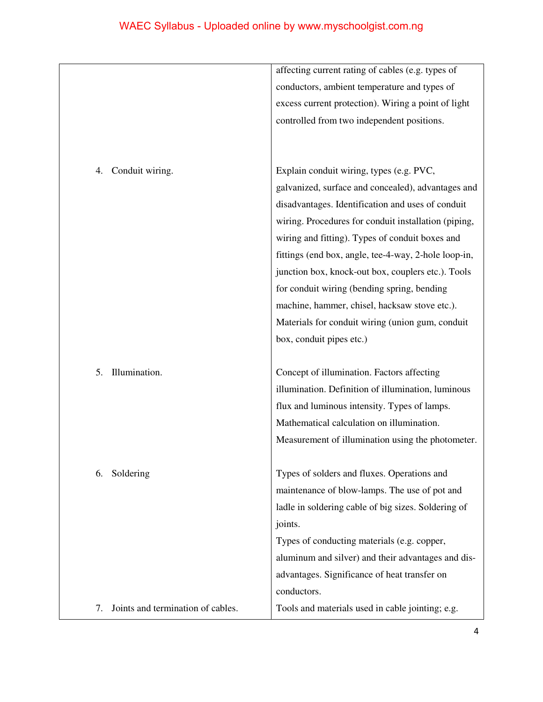|                                         | affecting current rating of cables (e.g. types of    |
|-----------------------------------------|------------------------------------------------------|
|                                         | conductors, ambient temperature and types of         |
|                                         | excess current protection). Wiring a point of light  |
|                                         | controlled from two independent positions.           |
|                                         |                                                      |
|                                         |                                                      |
| Conduit wiring.<br>4.                   | Explain conduit wiring, types (e.g. PVC,             |
|                                         | galvanized, surface and concealed), advantages and   |
|                                         | disadvantages. Identification and uses of conduit    |
|                                         | wiring. Procedures for conduit installation (piping, |
|                                         | wiring and fitting). Types of conduit boxes and      |
|                                         | fittings (end box, angle, tee-4-way, 2-hole loop-in, |
|                                         | junction box, knock-out box, couplers etc.). Tools   |
|                                         | for conduit wiring (bending spring, bending          |
|                                         | machine, hammer, chisel, hacksaw stove etc.).        |
|                                         | Materials for conduit wiring (union gum, conduit     |
|                                         | box, conduit pipes etc.)                             |
|                                         |                                                      |
| Illumination.<br>5.                     | Concept of illumination. Factors affecting           |
|                                         | illumination. Definition of illumination, luminous   |
|                                         | flux and luminous intensity. Types of lamps.         |
|                                         | Mathematical calculation on illumination.            |
|                                         | Measurement of illumination using the photometer.    |
|                                         |                                                      |
| Soldering<br>6.                         | Types of solders and fluxes. Operations and          |
|                                         | maintenance of blow-lamps. The use of pot and        |
|                                         | ladle in soldering cable of big sizes. Soldering of  |
|                                         | joints.                                              |
|                                         | Types of conducting materials (e.g. copper,          |
|                                         | aluminum and silver) and their advantages and dis-   |
|                                         | advantages. Significance of heat transfer on         |
|                                         | conductors.                                          |
| Joints and termination of cables.<br>7. | Tools and materials used in cable jointing; e.g.     |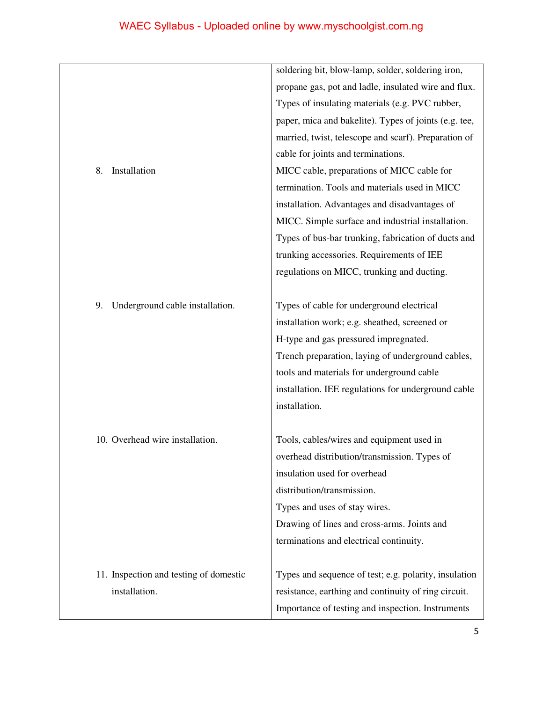## WAEC Syllabus - Uploaded online by www.myschoolgist.com.ng

|                                        | soldering bit, blow-lamp, solder, soldering iron,     |
|----------------------------------------|-------------------------------------------------------|
|                                        | propane gas, pot and ladle, insulated wire and flux.  |
|                                        | Types of insulating materials (e.g. PVC rubber,       |
|                                        | paper, mica and bakelite). Types of joints (e.g. tee, |
|                                        | married, twist, telescope and scarf). Preparation of  |
|                                        | cable for joints and terminations.                    |
| Installation<br>8.                     | MICC cable, preparations of MICC cable for            |
|                                        | termination. Tools and materials used in MICC         |
|                                        | installation. Advantages and disadvantages of         |
|                                        | MICC. Simple surface and industrial installation.     |
|                                        | Types of bus-bar trunking, fabrication of ducts and   |
|                                        | trunking accessories. Requirements of IEE             |
|                                        | regulations on MICC, trunking and ducting.            |
|                                        |                                                       |
| Underground cable installation.<br>9.  | Types of cable for underground electrical             |
|                                        | installation work; e.g. sheathed, screened or         |
|                                        | H-type and gas pressured impregnated.                 |
|                                        | Trench preparation, laying of underground cables,     |
|                                        | tools and materials for underground cable             |
|                                        | installation. IEE regulations for underground cable   |
|                                        | installation.                                         |
|                                        |                                                       |
| 10. Overhead wire installation.        | Tools, cables/wires and equipment used in             |
|                                        | overhead distribution/transmission. Types of          |
|                                        | insulation used for overhead                          |
|                                        | distribution/transmission.                            |
|                                        | Types and uses of stay wires.                         |
|                                        | Drawing of lines and cross-arms. Joints and           |
|                                        | terminations and electrical continuity.               |
|                                        |                                                       |
| 11. Inspection and testing of domestic | Types and sequence of test; e.g. polarity, insulation |
| installation.                          | resistance, earthing and continuity of ring circuit.  |
|                                        | Importance of testing and inspection. Instruments     |
|                                        |                                                       |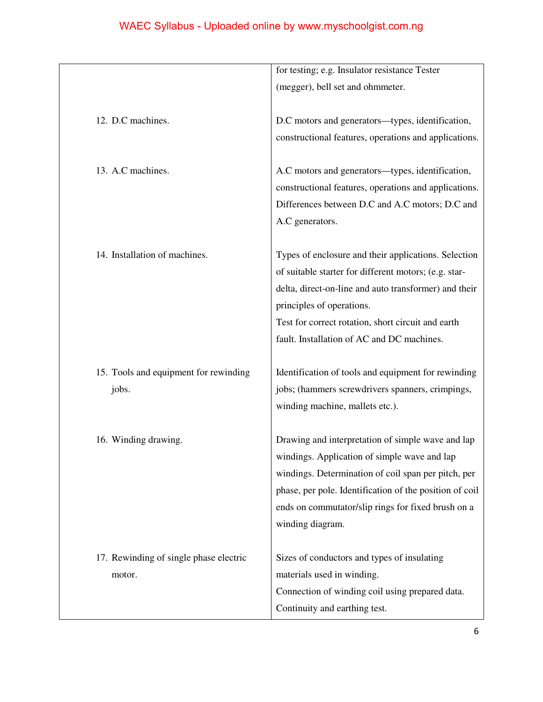## WAEC Syllabus - Uploaded online by www.myschoolgist.com.ng

|                                        | for testing; e.g. Insulator resistance Tester           |
|----------------------------------------|---------------------------------------------------------|
|                                        | (megger), bell set and ohmmeter.                        |
|                                        |                                                         |
| 12. D.C machines.                      | D.C motors and generators—types, identification,        |
|                                        | constructional features, operations and applications.   |
|                                        |                                                         |
| 13. A.C machines.                      | A.C motors and generators—types, identification,        |
|                                        |                                                         |
|                                        | constructional features, operations and applications.   |
|                                        | Differences between D.C and A.C motors; D.C and         |
|                                        | A.C generators.                                         |
|                                        |                                                         |
| 14. Installation of machines.          | Types of enclosure and their applications. Selection    |
|                                        | of suitable starter for different motors; (e.g. star-   |
|                                        | delta, direct-on-line and auto transformer) and their   |
|                                        | principles of operations.                               |
|                                        | Test for correct rotation, short circuit and earth      |
|                                        | fault. Installation of AC and DC machines.              |
|                                        |                                                         |
| 15. Tools and equipment for rewinding  | Identification of tools and equipment for rewinding     |
|                                        |                                                         |
| jobs.                                  | jobs; (hammers screwdrivers spanners, crimpings,        |
|                                        | winding machine, mallets etc.).                         |
|                                        |                                                         |
| 16. Winding drawing.                   | Drawing and interpretation of simple wave and lap       |
|                                        | windings. Application of simple wave and lap            |
|                                        | windings. Determination of coil span per pitch, per     |
|                                        | phase, per pole. Identification of the position of coil |
|                                        | ends on commutator/slip rings for fixed brush on a      |
|                                        | winding diagram.                                        |
|                                        |                                                         |
| 17. Rewinding of single phase electric | Sizes of conductors and types of insulating             |
| motor.                                 | materials used in winding.                              |
|                                        |                                                         |
|                                        | Connection of winding coil using prepared data.         |
|                                        | Continuity and earthing test.                           |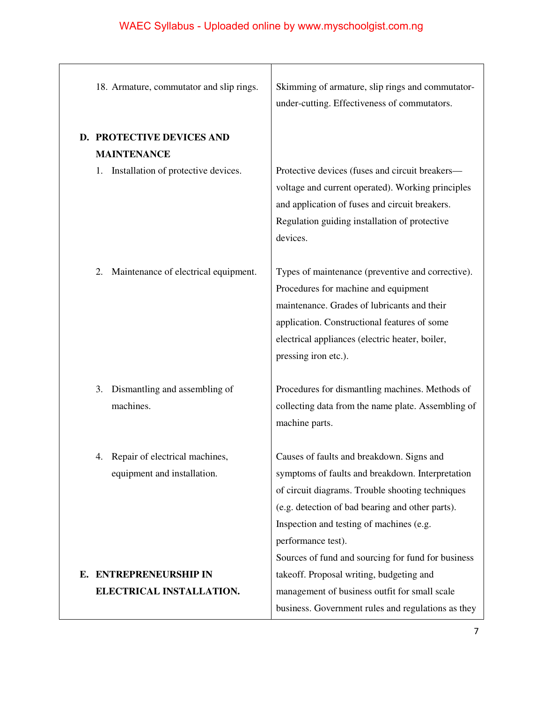| 18. Armature, commutator and slip rings.                            | Skimming of armature, slip rings and commutator-<br>under-cutting. Effectiveness of commutators.                                                                                                                                                                                                                              |
|---------------------------------------------------------------------|-------------------------------------------------------------------------------------------------------------------------------------------------------------------------------------------------------------------------------------------------------------------------------------------------------------------------------|
| D. PROTECTIVE DEVICES AND<br><b>MAINTENANCE</b>                     |                                                                                                                                                                                                                                                                                                                               |
| Installation of protective devices.<br>1.                           | Protective devices (fuses and circuit breakers—<br>voltage and current operated). Working principles<br>and application of fuses and circuit breakers.<br>Regulation guiding installation of protective<br>devices.                                                                                                           |
| Maintenance of electrical equipment.<br>2.                          | Types of maintenance (preventive and corrective).<br>Procedures for machine and equipment<br>maintenance. Grades of lubricants and their<br>application. Constructional features of some<br>electrical appliances (electric heater, boiler,<br>pressing iron etc.).                                                           |
| Dismantling and assembling of<br>3.<br>machines.                    | Procedures for dismantling machines. Methods of<br>collecting data from the name plate. Assembling of<br>machine parts.                                                                                                                                                                                                       |
| Repair of electrical machines,<br>4.<br>equipment and installation. | Causes of faults and breakdown. Signs and<br>symptoms of faults and breakdown. Interpretation<br>of circuit diagrams. Trouble shooting techniques<br>(e.g. detection of bad bearing and other parts).<br>Inspection and testing of machines (e.g.<br>performance test).<br>Sources of fund and sourcing for fund for business |
| E. ENTREPRENEURSHIP IN                                              | takeoff. Proposal writing, budgeting and                                                                                                                                                                                                                                                                                      |
| ELECTRICAL INSTALLATION.                                            | management of business outfit for small scale<br>business. Government rules and regulations as they                                                                                                                                                                                                                           |